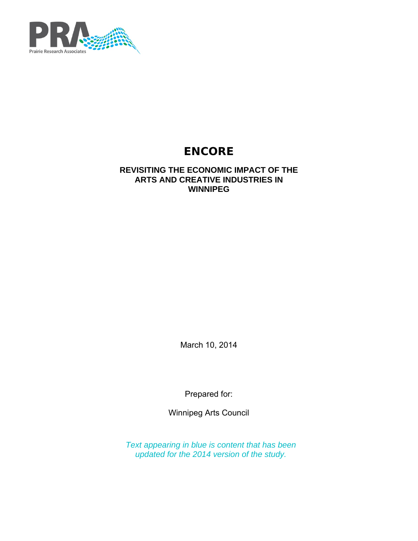

# **ENCORE**

## **REVISITING THE ECONOMIC IMPACT OF THE ARTS AND CREATIVE INDUSTRIES IN WINNIPEG**

March 10, 2014

Prepared for:

Winnipeg Arts Council

*Text appearing in blue is content that has been updated for the 2014 version of the study.*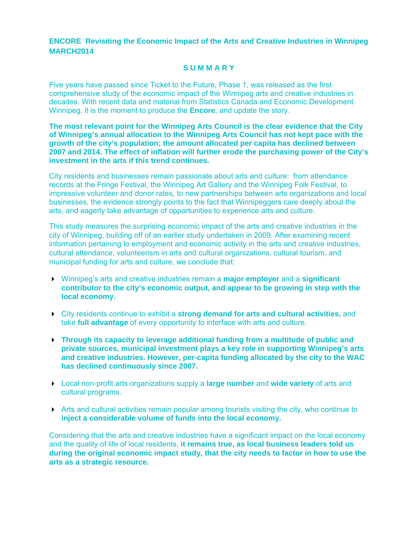**ENCORE Revisiting the Economic Impact of the Arts and Creative Industries in Winnipeg MARCH2014** 

#### **S U M M A R Y**

Five years have passed since Ticket to the Future, Phase 1, was released as the first comprehensive study of the economic impact of the Winnipeg arts and creative industries in decades. With recent data and material from Statistics Canada and Economic Development Winnipeg, it is the moment to produce the **Encore**, and update the story.

**The most relevant point for the Winnipeg Arts Council is the clear evidence that the City of Winnipeg's annual allocation to the Winnipeg Arts Council has not kept pace with the growth of the city's population; the amount allocated per capita has declined between 2007 and 2014. The effect of inflation will further erode the purchasing power of the City's investment in the arts if this trend continues.** 

City residents and businesses remain passionate about arts and culture: from attendance records at the Fringe Festival, the Winnipeg Art Gallery and the Winnipeg Folk Festival, to impressive volunteer and donor rates, to new partnerships between arts organizations and local businesses, the evidence strongly points to the fact that Winnipeggers care deeply about the arts, and eagerly take advantage of opportunities to experience arts and culture.

This study measures the surprising economic impact of the arts and creative industries in the city of Winnipeg, building off of an earlier study undertaken in 2009. After examining recent information pertaining to employment and economic activity in the arts and creative industries, cultural attendance, volunteerism in arts and cultural organizations, cultural tourism, and municipal funding for arts and culture, we conclude that:

- Winnipeg's arts and creative industries remain a **major employer** and a **significant contributor to the city's economic output, and appear to be growing in step with the local economy.**
- City residents continue to exhibit a **strong demand for arts and cultural activities,** and take **full advantage** of every opportunity to interface with arts and culture.
- **Through its capacity to leverage additional funding from a multitude of public and private sources, municipal investment plays a key role in supporting Winnipeg's arts and creative industries. However, per-capita funding allocated by the city to the WAC has declined continuously since 2007.**
- Local non-profit arts organizations supply a **large number** and **wide variety** of arts and cultural programs.
- $\blacktriangleright$  Arts and cultural activities remain popular among tourists visiting the city, who continue to **inject a considerable volume of funds into the local economy.**

Considering that the arts and creative industries have a significant impact on the local economy and the quality of life of local residents, **it remains true, as local business leaders told us during the original economic impact study, that the city needs to factor in how to use the arts as a strategic resource.**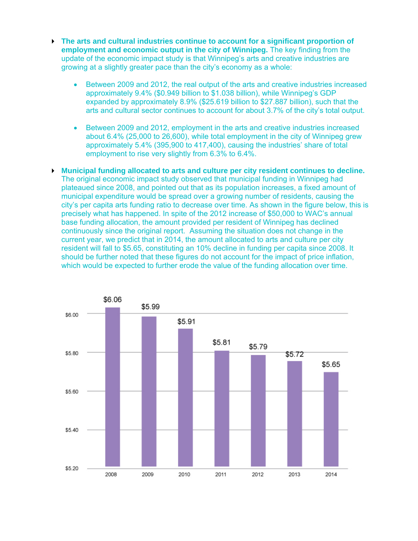- **The arts and cultural industries continue to account for a significant proportion of employment and economic output in the city of Winnipeg.** The key finding from the update of the economic impact study is that Winnipeg's arts and creative industries are growing at a slightly greater pace than the city's economy as a whole:
	- Between 2009 and 2012, the real output of the arts and creative industries increased approximately 9.4% (\$0.949 billion to \$1.038 billion), while Winnipeg's GDP expanded by approximately 8.9% (\$25.619 billion to \$27.887 billion), such that the arts and cultural sector continues to account for about 3.7% of the city's total output.
	- Between 2009 and 2012, employment in the arts and creative industries increased about 6.4% (25,000 to 26,600), while total employment in the city of Winnipeg grew approximately 5.4% (395,900 to 417,400), causing the industries' share of total employment to rise very slightly from 6.3% to 6.4%.

 **Municipal funding allocated to arts and culture per city resident continues to decline.** The original economic impact study observed that municipal funding in Winnipeg had plateaued since 2008, and pointed out that as its population increases, a fixed amount of municipal expenditure would be spread over a growing number of residents, causing the city's per capita arts funding ratio to decrease over time. As shown in the figure below, this is precisely what has happened. In spite of the 2012 increase of \$50,000 to WAC's annual base funding allocation, the amount provided per resident of Winnipeg has declined continuously since the original report. Assuming the situation does not change in the current year, we predict that in 2014, the amount allocated to arts and culture per city resident will fall to \$5.65, constituting an 10% decline in funding per capita since 2008. It should be further noted that these figures do not account for the impact of price inflation, which would be expected to further erode the value of the funding allocation over time.

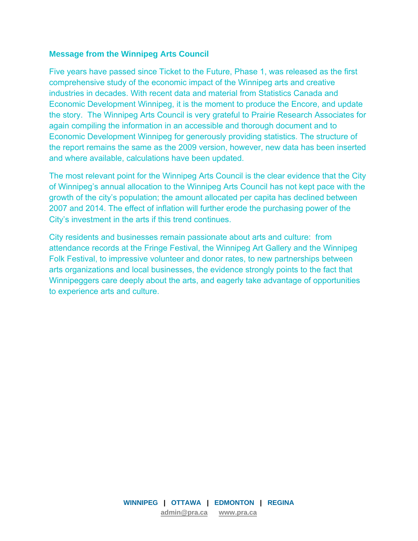#### **Message from the Winnipeg Arts Council**

Five years have passed since Ticket to the Future, Phase 1, was released as the first comprehensive study of the economic impact of the Winnipeg arts and creative industries in decades. With recent data and material from Statistics Canada and Economic Development Winnipeg, it is the moment to produce the Encore, and update the story. The Winnipeg Arts Council is very grateful to Prairie Research Associates for again compiling the information in an accessible and thorough document and to Economic Development Winnipeg for generously providing statistics. The structure of the report remains the same as the 2009 version, however, new data has been inserted and where available, calculations have been updated.

The most relevant point for the Winnipeg Arts Council is the clear evidence that the City of Winnipeg's annual allocation to the Winnipeg Arts Council has not kept pace with the growth of the city's population; the amount allocated per capita has declined between 2007 and 2014. The effect of inflation will further erode the purchasing power of the City's investment in the arts if this trend continues.

City residents and businesses remain passionate about arts and culture: from attendance records at the Fringe Festival, the Winnipeg Art Gallery and the Winnipeg Folk Festival, to impressive volunteer and donor rates, to new partnerships between arts organizations and local businesses, the evidence strongly points to the fact that Winnipeggers care deeply about the arts, and eagerly take advantage of opportunities to experience arts and culture.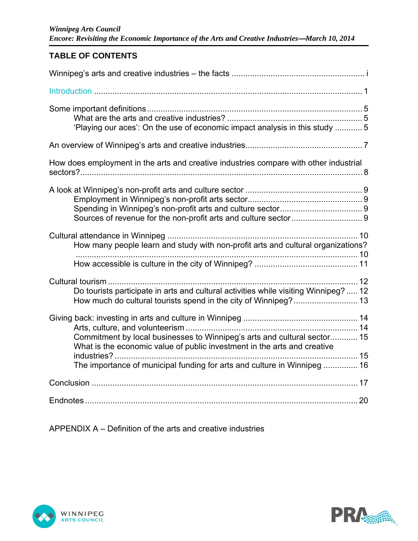## **TABLE OF CONTENTS**

| 'Playing our aces': On the use of economic impact analysis in this study  5                                                                                                                                                      |
|----------------------------------------------------------------------------------------------------------------------------------------------------------------------------------------------------------------------------------|
|                                                                                                                                                                                                                                  |
| How does employment in the arts and creative industries compare with other industrial                                                                                                                                            |
|                                                                                                                                                                                                                                  |
| How many people learn and study with non-profit arts and cultural organizations?                                                                                                                                                 |
| Do tourists participate in arts and cultural activities while visiting Winnipeg?  12                                                                                                                                             |
| Commitment by local businesses to Winnipeg's arts and cultural sector 15<br>What is the economic value of public investment in the arts and creative<br>The importance of municipal funding for arts and culture in Winnipeg  16 |
|                                                                                                                                                                                                                                  |
|                                                                                                                                                                                                                                  |

APPENDIX A – Definition of the arts and creative industries



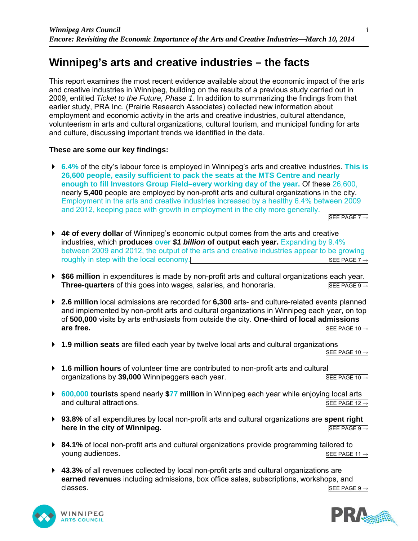## **Winnipeg's arts and creative industries – the facts**

This report examines the most recent evidence available about the economic impact of the arts and creative industries in Winnipeg, building on the results of a previous study carried out in 2009, entitled *Ticket to the Future, Phase 1*. In addition to summarizing the findings from that earlier study, PRA Inc. (Prairie Research Associates) collected new information about employment and economic activity in the arts and creative industries, cultural attendance, volunteerism in arts and cultural organizations, cultural tourism, and municipal funding for arts and culture, discussing important trends we identified in the data.

#### **These are some our key findings:**

 **6.4%** of the city's labour force is employed in Winnipeg's arts and creative industries. **This is 26,600 people, easily sufficient to pack the seats at the MTS Centre and nearly enough to fill Investors Group Field–every working day of the year.** Of these 26,600, nearly **5,400** people are employed by non-profit arts and cultural organizations in the city. Employment in the arts and creative industries increased by a healthy 6.4% between 2009 and 2012, keeping pace with growth in employment in the city more generally. SEE PAGE 7  $\rightarrow$ 

- **4¢ of every dollar** of Winnipeg's economic output comes from the arts and creative industries, which **produces over** *\$1 billion* **of output each year.** Expanding by 9.4% between 2009 and 2012, the output of the arts and creative industries appear to be growing roughly in step with the local economy.  $SEPAGE 7 \rightarrow$
- **\$66 million** in expenditures is made by non-profit arts and cultural organizations each year. **Three-quarters** of this goes into wages, salaries, and honoraria. SEE PAGE 9  $\rightarrow$
- **2.6 million** local admissions are recorded for **6,300** arts- and culture-related events planned and implemented by non-profit arts and cultural organizations in Winnipeg each year, on top of **500,000** visits by arts enthusiasts from outside the city. **One-third of local admissions are free.** SEE PAGE 10  $\rightarrow$
- **1.9 million seats** are filled each year by twelve local arts and cultural organizations <br>
SEE PAGE 10 →

- **1.6 million hours** of volunteer time are contributed to non-profit arts and cultural organizations by 39,000 Winnipeggers each year. See PAGE 10→
- **600,000 tourists** spend nearly **\$77 million** in Winnipeg each year while enjoying local arts and cultural attractions.  $SEE PAGE 12 \rightarrow$
- **93.8%** of all expenditures by local non-profit arts and cultural organizations are **spent right here in the city of Winnipeg.**  $\overline{SEE PAGE 9 →}$
- **84.1%** of local non-profit arts and cultural organizations provide programming tailored to young audiences.  $\overline{\text{SEE PAGE 11}}$  →
- **43.3%** of all revenues collected by local non-profit arts and cultural organizations are **earned revenues** including admissions, box office sales, subscriptions, workshops, and classes. SEE PAGE 9  $\rightarrow$



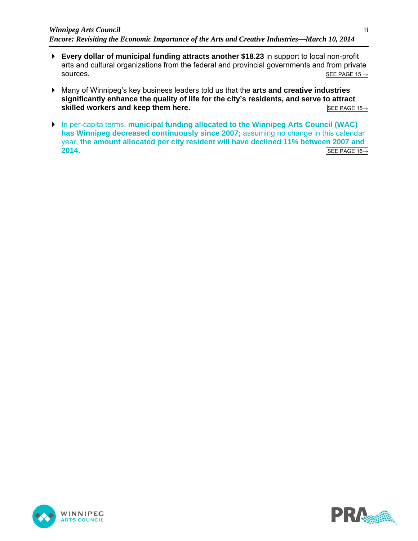- **Every dollar of municipal funding attracts another \$18.23** in support to local non-profit arts and cultural organizations from the federal and provincial governments and from private  $\overline{\text{SDE PAGE 15}}$   $\rightarrow$
- Many of Winnipeg's key business leaders told us that the **arts and creative industries significantly enhance the quality of life for the city's residents, and serve to attract skilled workers and keep them here.** SEE PAGE 15→
- In per-capita terms, **municipal funding allocated to the Winnipeg Arts Council (WAC) has Winnipeg decreased continuously since 2007;** assuming no change in this calendar year, **the amount allocated per city resident will have declined 11% between 2007 and 2014.** SEE PAGE 16→



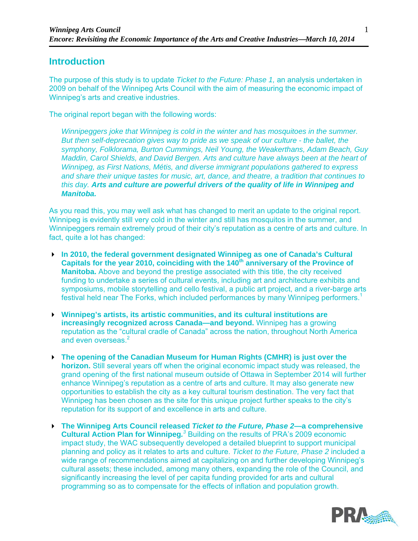## **Introduction**

The purpose of this study is to update *Ticket to the Future: Phase 1,* an analysis undertaken in 2009 on behalf of the Winnipeg Arts Council with the aim of measuring the economic impact of Winnipeg's arts and creative industries.

The original report began with the following words:

*Winnipeggers joke that Winnipeg is cold in the winter and has mosquitoes in the summer. But then self-deprecation gives way to pride as we speak of our culture - the ballet, the symphony, Folklorama, Burton Cummings, Neil Young, the Weakerthans, Adam Beach, Guy Maddin, Carol Shields, and David Bergen. Arts and culture have always been at the heart of Winnipeg, as First Nations, Métis, and diverse immigrant populations gathered to express and share their unique tastes for music, art, dance, and theatre, a tradition that continues to this day. Arts and culture are powerful drivers of the quality of life in Winnipeg and Manitoba.* 

As you read this, you may well ask what has changed to merit an update to the original report. Winnipeg is evidently still very cold in the winter and still has mosquitos in the summer, and Winnipeggers remain extremely proud of their city's reputation as a centre of arts and culture. In fact, quite a lot has changed:

- **In 2010, the federal government designated Winnipeg as one of Canada's Cultural**  Capitals for the year 2010, coinciding with the 140<sup>th</sup> anniversary of the Province of **Manitoba.** Above and beyond the prestige associated with this title, the city received funding to undertake a series of cultural events, including art and architecture exhibits and symposiums, mobile storytelling and cello festival, a public art project, and a river-barge arts festival held near The Forks, which included performances by many Winnipeg performers.<sup>1</sup>
- **Winnipeg's artists, its artistic communities, and its cultural institutions are increasingly recognized across Canada—and beyond.** Winnipeg has a growing reputation as the "cultural cradle of Canada" across the nation, throughout North America and even overseas.<sup>2</sup>
- **The opening of the Canadian Museum for Human Rights (CMHR) is just over the horizon.** Still several years off when the original economic impact study was released, the grand opening of the first national museum outside of Ottawa in September 2014 will further enhance Winnipeg's reputation as a centre of arts and culture. It may also generate new opportunities to establish the city as a key cultural tourism destination. The very fact that Winnipeg has been chosen as the site for this unique project further speaks to the city's reputation for its support of and excellence in arts and culture.
- **The Winnipeg Arts Council released** *Ticket to the Future, Phase 2—***a comprehensive Cultural Action Plan for Winnipeg.**<sup>3</sup> Building on the results of PRA's 2009 economic impact study, the WAC subsequently developed a detailed blueprint to support municipal planning and policy as it relates to arts and culture. *Ticket to the Future, Phase 2* included a wide range of recommendations aimed at capitalizing on and further developing Winnipeg's cultural assets; these included, among many others, expanding the role of the Council, and significantly increasing the level of per capita funding provided for arts and cultural programming so as to compensate for the effects of inflation and population growth.

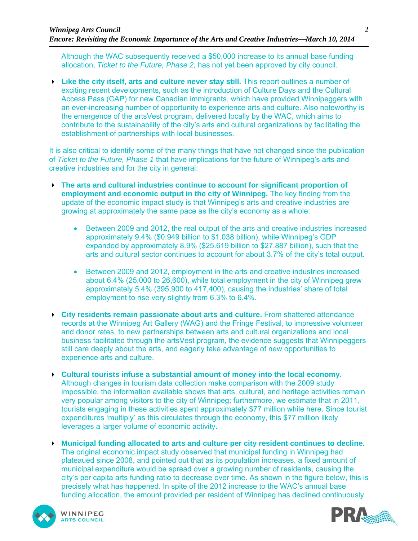Although the WAC subsequently received a \$50,000 increase to its annual base funding allocation, *Ticket to the Future, Phase 2,* has not yet been approved by city council.

 **Like the city itself, arts and culture never stay still.** This report outlines a number of exciting recent developments, such as the introduction of Culture Days and the Cultural Access Pass (CAP) for new Canadian immigrants, which have provided Winnipeggers with an ever-increasing number of opportunity to experience arts and culture. Also noteworthy is the emergence of the artsVest program, delivered locally by the WAC, which aims to contribute to the sustainability of the city's arts and cultural organizations by facilitating the establishment of partnerships with local businesses.

It is also critical to identify some of the many things that have not changed since the publication of *Ticket to the Future, Phase 1* that have implications for the future of Winnipeg's arts and creative industries and for the city in general:

- **The arts and cultural industries continue to account for significant proportion of employment and economic output in the city of Winnipeg.** The key finding from the update of the economic impact study is that Winnipeg's arts and creative industries are growing at approximately the same pace as the city's economy as a whole:
	- Between 2009 and 2012, the real output of the arts and creative industries increased approximately 9.4% (\$0.949 billion to \$1.038 billion), while Winnipeg's GDP expanded by approximately 8.9% (\$25.619 billion to \$27.887 billion), such that the arts and cultural sector continues to account for about 3.7% of the city's total output.
	- Between 2009 and 2012, employment in the arts and creative industries increased about 6.4% (25,000 to 26,600), while total employment in the city of Winnipeg grew approximately 5.4% (395,900 to 417,400), causing the industries' share of total employment to rise very slightly from 6.3% to 6.4%.
- **City residents remain passionate about arts and culture.** From shattered attendance records at the Winnipeg Art Gallery (WAG) and the Fringe Festival, to impressive volunteer and donor rates, to new partnerships between arts and cultural organizations and local business facilitated through the artsVest program, the evidence suggests that Winnipeggers still care deeply about the arts, and eagerly take advantage of new opportunities to experience arts and culture.
- **Cultural tourists infuse a substantial amount of money into the local economy.** Although changes in tourism data collection make comparison with the 2009 study impossible, the information available shows that arts, cultural, and heritage activities remain very popular among visitors to the city of Winnipeg; furthermore, we estimate that in 2011, tourists engaging in these activities spent approximately \$77 million while here. Since tourist expenditures 'multiply' as this circulates through the economy, this \$77 million likely leverages a larger volume of economic activity.
- **Municipal funding allocated to arts and culture per city resident continues to decline.** The original economic impact study observed that municipal funding in Winnipeg had plateaued since 2008, and pointed out that as its population increases, a fixed amount of municipal expenditure would be spread over a growing number of residents, causing the city's per capita arts funding ratio to decrease over time. As shown in the figure below, this is precisely what has happened. In spite of the 2012 increase to the WAC's annual base funding allocation, the amount provided per resident of Winnipeg has declined continuously



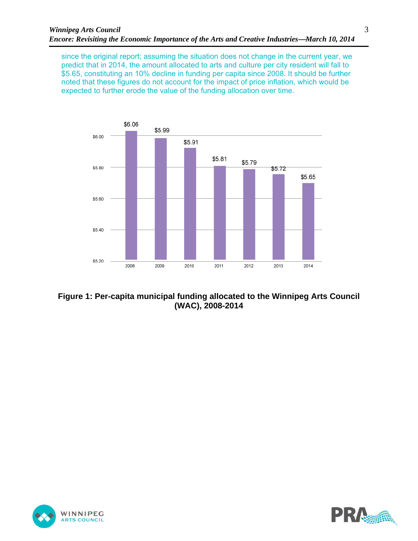since the original report; assuming the situation does not change in the current year, we predict that in 2014, the amount allocated to arts and culture per city resident will fall to \$5.65, constituting an 10% decline in funding per capita since 2008. It should be further noted that these figures do not account for the impact of price inflation, which would be expected to further erode the value of the funding allocation over time.



**Figure 1: Per-capita municipal funding allocated to the Winnipeg Arts Council (WAC), 2008-2014** 



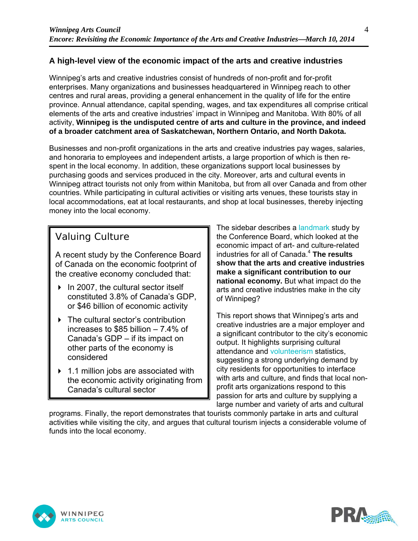## **A high-level view of the economic impact of the arts and creative industries**

Winnipeg's arts and creative industries consist of hundreds of non-profit and for-profit enterprises. Many organizations and businesses headquartered in Winnipeg reach to other centres and rural areas, providing a general enhancement in the quality of life for the entire province. Annual attendance, capital spending, wages, and tax expenditures all comprise critical elements of the arts and creative industries' impact in Winnipeg and Manitoba. With 80% of all activity, **Winnipeg is the undisputed centre of arts and culture in the province, and indeed of a broader catchment area of Saskatchewan, Northern Ontario, and North Dakota.** 

Businesses and non-profit organizations in the arts and creative industries pay wages, salaries, and honoraria to employees and independent artists, a large proportion of which is then respent in the local economy. In addition, these organizations support local businesses by purchasing goods and services produced in the city. Moreover, arts and cultural events in Winnipeg attract tourists not only from within Manitoba, but from all over Canada and from other countries. While participating in cultural activities or visiting arts venues, these tourists stay in local accommodations, eat at local restaurants, and shop at local businesses, thereby injecting money into the local economy.

## Valuing Culture

A recent study by the Conference Board of Canada on the economic footprint of the creative economy concluded that:

- $\triangleright$  In 2007, the cultural sector itself constituted 3.8% of Canada's GDP, or \$46 billion of economic activity
- ▶ The cultural sector's contribution increases to \$85 billion – 7.4% of Canada's GDP – if its impact on other parts of the economy is considered
- ▶ 1.1 million jobs are associated with the economic activity originating from Canada's cultural sector

The sidebar describes a landmark study by the Conference Board, which looked at the economic impact of art- and culture-related industries for all of Canada.<sup>4</sup> **The results show that the arts and creative industries make a significant contribution to our national economy.** But what impact do the arts and creative industries make in the city of Winnipeg?

This report shows that Winnipeg's arts and creative industries are a major employer and a significant contributor to the city's economic output. It highlights surprising cultural attendance and volunteerism statistics, suggesting a strong underlying demand by city residents for opportunities to interface with arts and culture, and finds that local nonprofit arts organizations respond to this passion for arts and culture by supplying a large number and variety of arts and cultural

programs. Finally, the report demonstrates that tourists commonly partake in arts and cultural activities while visiting the city, and argues that cultural tourism injects a considerable volume of funds into the local economy.



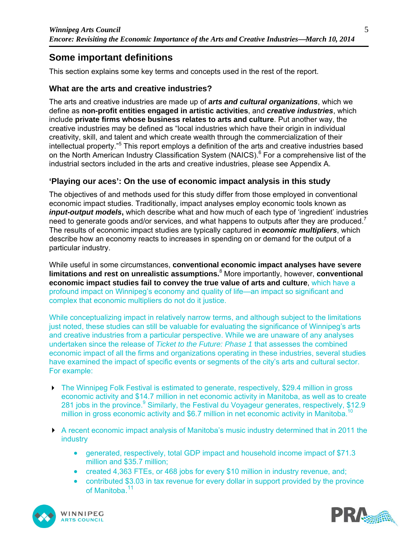## **Some important definitions**

This section explains some key terms and concepts used in the rest of the report.

#### **What are the arts and creative industries?**

The arts and creative industries are made up of *arts and cultural organizations*, which we define as **non-profit entities engaged in artistic activities**, and *creative industries*, which include **private firms whose business relates to arts and culture**. Put another way, the creative industries may be defined as "local industries which have their origin in individual creativity, skill, and talent and which create wealth through the commercialization of their intellectual property."<sup>5</sup> This report employs a definition of the arts and creative industries based on the North American Industry Classification System (NAICS).<sup>6</sup> For a comprehensive list of the industrial sectors included in the arts and creative industries, please see Appendix A.

#### **'Playing our aces': On the use of economic impact analysis in this study**

The objectives of and methods used for this study differ from those employed in conventional economic impact studies. Traditionally, impact analyses employ economic tools known as *input-output models*, which describe what and how much of each type of 'ingredient' industries need to generate goods and/or services, and what happens to outputs after they are produced.<sup>7</sup> The results of economic impact studies are typically captured in *economic multipliers*, which describe how an economy reacts to increases in spending on or demand for the output of a particular industry.

While useful in some circumstances, **conventional economic impact analyses have severe limitations and rest on unrealistic assumptions.**<sup>8</sup> More importantly, however, **conventional economic impact studies fail to convey the true value of arts and culture**, which have a profound impact on Winnipeg's economy and quality of life—an impact so significant and complex that economic multipliers do not do it justice.

While conceptualizing impact in relatively narrow terms, and although subject to the limitations just noted, these studies can still be valuable for evaluating the significance of Winnipeg's arts and creative industries from a particular perspective. While we are unaware of any analyses undertaken since the release of *Ticket to the Future: Phase 1* that assesses the combined economic impact of all the firms and organizations operating in these industries, several studies have examined the impact of specific events or segments of the city's arts and cultural sector. For example:

- ▶ The Winnipeg Folk Festival is estimated to generate, respectively, \$29.4 million in gross economic activity and \$14.7 million in net economic activity in Manitoba, as well as to create 281 jobs in the province.<sup>9</sup> Similarly, the Festival du Voyageur generates, respectively, \$12.9 million in gross economic activity and \$6.7 million in net economic activity in Manitoba.<sup>10</sup>
- A recent economic impact analysis of Manitoba's music industry determined that in 2011 the industry
	- generated, respectively, total GDP impact and household income impact of \$71.3 million and \$35.7 million;
	- created 4,363 FTEs, or 468 jobs for every \$10 million in industry revenue, and;
	- contributed \$3.03 in tax revenue for every dollar in support provided by the province of Manitoba.<sup>11</sup>



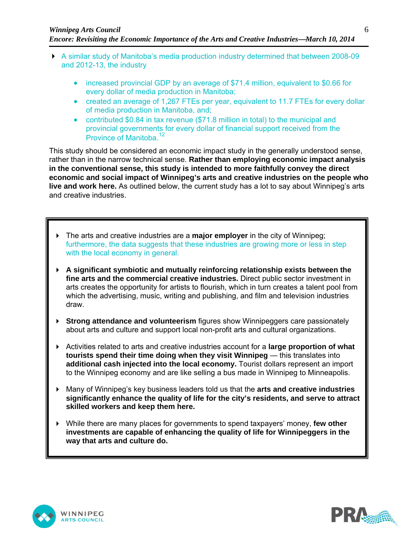- A similar study of Manitoba's media production industry determined that between 2008-09 and 2012-13, the industry
	- increased provincial GDP by an average of \$71.4 million, equivalent to \$0.66 for every dollar of media production in Manitoba;
	- created an average of 1,267 FTEs per year, equivalent to 11.7 FTEs for every dollar of media production in Manitoba, and;
	- contributed \$0.84 in tax revenue (\$71.8 million in total) to the municipal and provincial governments for every dollar of financial support received from the Province of Manitoba.<sup>12</sup>

This study should be considered an economic impact study in the generally understood sense, rather than in the narrow technical sense. **Rather than employing economic impact analysis in the conventional sense, this study is intended to more faithfully convey the direct economic and social impact of Winnipeg's arts and creative industries on the people who live and work here.** As outlined below, the current study has a lot to say about Winnipeg's arts and creative industries.

- The arts and creative industries are a **major employer** in the city of Winnipeg; furthermore, the data suggests that these industries are growing more or less in step with the local economy in general.
- **A significant symbiotic and mutually reinforcing relationship exists between the fine arts and the commercial creative industries.** Direct public sector investment in arts creates the opportunity for artists to flourish, which in turn creates a talent pool from which the advertising, music, writing and publishing, and film and television industries draw.
- **Strong attendance and volunteerism** figures show Winnipeggers care passionately about arts and culture and support local non-profit arts and cultural organizations.
- Activities related to arts and creative industries account for a **large proportion of what tourists spend their time doing when they visit Winnipeg** — this translates into **additional cash injected into the local economy.** Tourist dollars represent an import to the Winnipeg economy and are like selling a bus made in Winnipeg to Minneapolis.
- Many of Winnipeg's key business leaders told us that the **arts and creative industries significantly enhance the quality of life for the city's residents, and serve to attract skilled workers and keep them here.**
- While there are many places for governments to spend taxpayers' money, **few other investments are capable of enhancing the quality of life for Winnipeggers in the way that arts and culture do.**



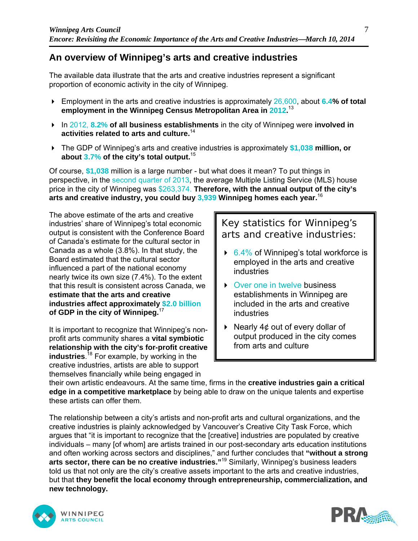## **An overview of Winnipeg's arts and creative industries**

The available data illustrate that the arts and creative industries represent a significant proportion of economic activity in the city of Winnipeg.

- Employment in the arts and creative industries is approximately 26,600, about **6.4% of total employment in the Winnipeg Census Metropolitan Area in 2012.** 13
- In 2012, **8.2% of all business establishments** in the city of Winnipeg were **involved in activities related to arts and culture.**<sup>14</sup>
- The GDP of Winnipeg's arts and creative industries is approximately **\$1,038 million, or about 3.7% of the city's total output.**<sup>15</sup>

Of course, **\$1,038** million is a large number - but what does it mean? To put things in perspective, in the second quarter of 2013, the average Multiple Listing Service (MLS) house price in the city of Winnipeg was \$263,374. **Therefore, with the annual output of the city's arts and creative industry, you could buy 3,939 Winnipeg homes each year.**<sup>16</sup>

The above estimate of the arts and creative industries' share of Winnipeg's total economic output is consistent with the Conference Board of Canada's estimate for the cultural sector in Canada as a whole (3.8%). In that study, the Board estimated that the cultural sector influenced a part of the national economy nearly twice its own size (7.4%). To the extent that this result is consistent across Canada, we **estimate that the arts and creative industries affect approximately \$2.0 billion of GDP in the city of Winnipeg.**<sup>17</sup>

It is important to recognize that Winnipeg's nonprofit arts community shares a **vital symbiotic relationship with the city's for-profit creative industries**. 18 For example, by working in the creative industries, artists are able to support themselves financially while being engaged in

Key statistics for Winnipeg's arts and creative industries:

- $6.4\%$  of Winnipeg's total workforce is employed in the arts and creative industries
- ▶ Over one in twelve business establishments in Winnipeg are included in the arts and creative industries
- Nearly  $4¢$  out of every dollar of output produced in the city comes from arts and culture

their own artistic endeavours. At the same time, firms in the **creative industries gain a critical edge in a competitive marketplace** by being able to draw on the unique talents and expertise these artists can offer them.

The relationship between a city's artists and non-profit arts and cultural organizations, and the creative industries is plainly acknowledged by Vancouver's Creative City Task Force, which argues that "it is important to recognize that the [creative] industries are populated by creative individuals – many [of whom] are artists trained in our post-secondary arts education institutions and often working across sectors and disciplines," and further concludes that **"without a strong arts sector, there can be no creative industries."**<sup>19</sup> Similarly, Winnipeg's business leaders told us that not only are the city's creative assets important to the arts and creative industries, but that **they benefit the local economy through entrepreneurship, commercialization, and new technology.**



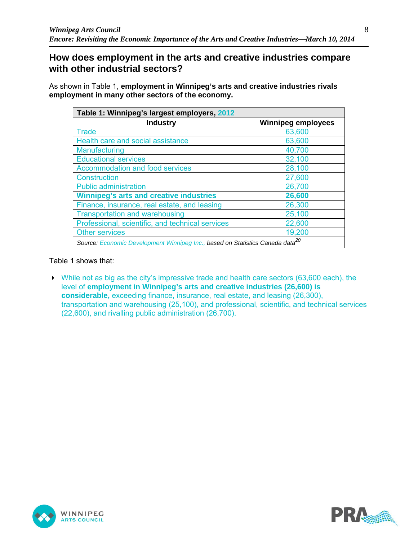## **How does employment in the arts and creative industries compare with other industrial sectors?**

As shown in Table 1, **employment in Winnipeg's arts and creative industries rivals employment in many other sectors of the economy.**

| Table 1: Winnipeg's largest employers, 2012                                               |                           |
|-------------------------------------------------------------------------------------------|---------------------------|
| <b>Industry</b>                                                                           | <b>Winnipeg employees</b> |
| <b>Trade</b>                                                                              | 63,600                    |
| Health care and social assistance                                                         | 63,600                    |
| Manufacturing                                                                             | 40,700                    |
| <b>Educational services</b>                                                               | 32,100                    |
| <b>Accommodation and food services</b>                                                    | 28,100                    |
| <b>Construction</b>                                                                       | 27,600                    |
| <b>Public administration</b>                                                              | 26,700                    |
| <b>Winnipeg's arts and creative industries</b>                                            | 26,600                    |
| Finance, insurance, real estate, and leasing                                              | 26,300                    |
| <b>Transportation and warehousing</b>                                                     | 25,100                    |
| Professional, scientific, and technical services                                          | 22,600                    |
| <b>Other services</b>                                                                     | 19,200                    |
| Source: Economic Development Winnipeg Inc., based on Statistics Canada data <sup>20</sup> |                           |

Table 1 shows that:

While not as big as the city's impressive trade and health care sectors (63,600 each), the level of **employment in Winnipeg's arts and creative industries (26,600) is considerable,** exceeding finance, insurance, real estate, and leasing (26,300), transportation and warehousing (25,100), and professional, scientific, and technical services (22,600), and rivalling public administration (26,700).



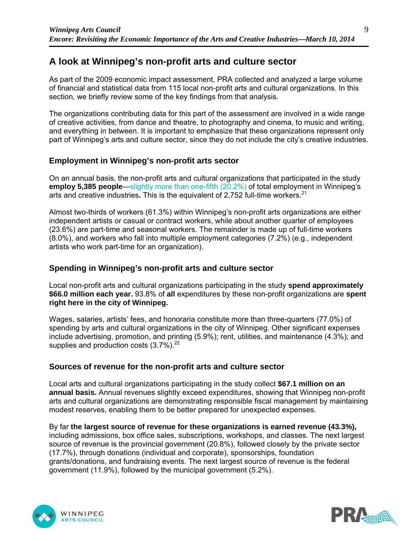## **A look at Winnipeg's non-profit arts and culture sector**

As part of the 2009 economic impact assessment, PRA collected and analyzed a large volume of financial and statistical data from 115 local non-profit arts and cultural organizations. In this section, we briefly review some of the key findings from that analysis*.*

The organizations contributing data for this part of the assessment are involved in a wide range of creative activities, from dance and theatre, to photography and cinema, to music and writing, and everything in between. It is important to emphasize that these organizations represent only part of Winnipeg's arts and culture sector, since they do not include the city's creative industries.

## **Employment in Winnipeg's non-profit arts sector**

On an annual basis, the non-profit arts and cultural organizations that participated in the study **employ 5,385 people**—slightly more than one-fifth (20.2%) of total employment in Winnipeg's arts and creative industries. This is the equivalent of 2,752 full-time workers.<sup>21</sup>

Almost two-thirds of workers (61.3%) within Winnipeg's non-profit arts organizations are either independent artists or casual or contract workers, while about another quarter of employees (23.6%) are part-time and seasonal workers. The remainder is made up of full-time workers (8.0%), and workers who fall into multiple employment categories (7.2%) (e.g., independent artists who work part-time for an organization).

## **Spending in Winnipeg's non-profit arts and culture sector**

Local non-profit arts and cultural organizations participating in the study **spend approximately \$66.0 million each year.** 93.8% of **all** expenditures by these non-profit organizations are **spent right here in the city of Winnipeg.** 

Wages, salaries, artists' fees, and honoraria constitute more than three-quarters (77.0%) of spending by arts and cultural organizations in the city of Winnipeg. Other significant expenses include advertising, promotion, and printing (5.9%); rent, utilities, and maintenance (4.3%); and supplies and production costs  $(3.7\%)$ <sup>22</sup>

## **Sources of revenue for the non-profit arts and culture sector**

Local arts and cultural organizations participating in the study collect **\$67.1 million on an annual basis.** Annual revenues slightly exceed expenditures, showing that Winnipeg non-profit arts and cultural organizations are demonstrating responsible fiscal management by maintaining modest reserves, enabling them to be better prepared for unexpected expenses.

By far **the largest source of revenue for these organizations is earned revenue (43.3%),**  including admissions, box office sales, subscriptions, workshops, and classes. The next largest source of revenue is the provincial government (20.8%), followed closely by the private sector (17.7%), through donations (individual and corporate), sponsorships, foundation grants/donations, and fundraising events. The next largest source of revenue is the federal government (11.9%), followed by the municipal government (5.2%).



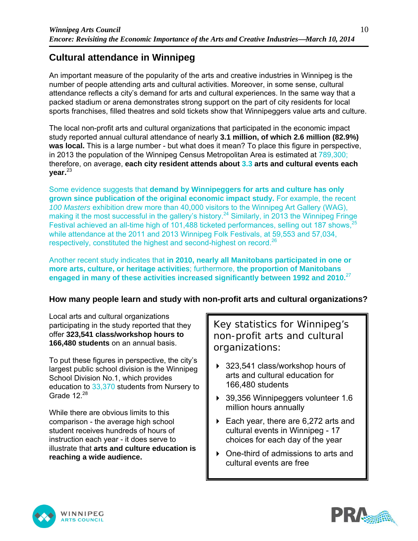## **Cultural attendance in Winnipeg**

An important measure of the popularity of the arts and creative industries in Winnipeg is the number of people attending arts and cultural activities. Moreover, in some sense, cultural attendance reflects a city's demand for arts and cultural experiences. In the same way that a packed stadium or arena demonstrates strong support on the part of city residents for local sports franchises, filled theatres and sold tickets show that Winnipeggers value arts and culture.

The local non-profit arts and cultural organizations that participated in the economic impact study reported annual cultural attendance of nearly **3.1 million, of which 2.6 million (82.9%) was local.** This is a large number - but what does it mean? To place this figure in perspective, in 2013 the population of the Winnipeg Census Metropolitan Area is estimated at 789,300; therefore, on average, **each city resident attends about 3.3 arts and cultural events each year.**<sup>23</sup>

Some evidence suggests that **demand by Winnipeggers for arts and culture has only grown since publication of the original economic impact study.** For example, the recent *100 Masters* exhibition drew more than 40,000 visitors to the Winnipeg Art Gallery (WAG), making it the most successful in the gallery's history.<sup>24</sup> Similarly, in 2013 the Winnipeg Fringe Festival achieved an all-time high of 101,488 ticketed performances, selling out 187 shows,<sup>2</sup> while attendance at the 2011 and 2013 Winnipeg Folk Festivals, at 59,553 and 57,034, respectively, constituted the highest and second-highest on record.<sup>26</sup>

Another recent study indicates that **in 2010, nearly all Manitobans participated in one or more arts, culture, or heritage activities**; furthermore, **the proportion of Manitobans engaged in many of these activities increased significantly between 1992 and 2010.**<sup>27</sup>

## **How many people learn and study with non-profit arts and cultural organizations?**

Local arts and cultural organizations participating in the study reported that they offer **323,541 class/workshop hours to 166,480 students** on an annual basis.

To put these figures in perspective, the city's largest public school division is the Winnipeg School Division No.1, which provides education to 33,370 students from Nursery to Grade  $12.^{28}$ 

While there are obvious limits to this comparison - the average high school student receives hundreds of hours of instruction each year - it does serve to illustrate that **arts and culture education is reaching a wide audience.** 

Key statistics for Winnipeg's non-profit arts and cultural organizations:

- ▶ 323,541 class/workshop hours of arts and cultural education for 166,480 students
- ▶ 39,356 Winnipeggers volunteer 1.6 million hours annually
- ▶ Each year, there are 6,272 arts and cultural events in Winnipeg - 17 choices for each day of the year
- ▶ One-third of admissions to arts and cultural events are free



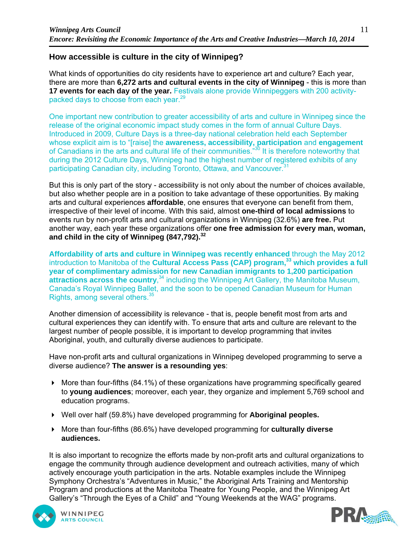## **How accessible is culture in the city of Winnipeg?**

What kinds of opportunities do city residents have to experience art and culture? Each year, there are more than **6,272 arts and cultural events in the city of Winnipeg** - this is more than **17 events for each day of the year.** Festivals alone provide Winnipeggers with 200 activitypacked days to choose from each year.<sup>29</sup>

One important new contribution to greater accessibility of arts and culture in Winnipeg since the release of the original economic impact study comes in the form of annual Culture Days. Introduced in 2009, Culture Days is a three-day national celebration held each September whose explicit aim is to "[raise] the **awareness, accessibility, participation** and **engagement** of Canadians in the arts and cultural life of their communities."<sup>30</sup> It is therefore noteworthy that during the 2012 Culture Days, Winnipeg had the highest number of registered exhibits of any participating Canadian city, including Toronto, Ottawa, and Vancouver.<sup>31</sup>

But this is only part of the story - accessibility is not only about the number of choices available, but also whether people are in a position to take advantage of these opportunities. By making arts and cultural experiences **affordable**, one ensures that everyone can benefit from them, irrespective of their level of income. With this said, almost **one-third of local admissions** to events run by non-profit arts and cultural organizations in Winnipeg (32.6%) **are free.** Put another way, each year these organizations offer **one free admission for every man, woman, and child in the city of Winnipeg (847,792).32**

**Affordability of arts and culture in Winnipeg was recently enhanced** through the May 2012 introduction to Manitoba of the **Cultural Access Pass (CAP) program**,<sup>33</sup> which provides a full **year of complimentary admission for new Canadian immigrants to 1,200 participation**  attractions across the country,<sup>34</sup> including the Winnipeg Art Gallery, the Manitoba Museum, Canada's Royal Winnipeg Ballet, and the soon to be opened Canadian Museum for Human Rights, among several others.35

Another dimension of accessibility is relevance - that is, people benefit most from arts and cultural experiences they can identify with. To ensure that arts and culture are relevant to the largest number of people possible, it is important to develop programming that invites Aboriginal, youth, and culturally diverse audiences to participate.

Have non-profit arts and cultural organizations in Winnipeg developed programming to serve a diverse audience? **The answer is a resounding yes**:

- More than four-fifths (84.1%) of these organizations have programming specifically geared to **young audiences**; moreover, each year, they organize and implement 5,769 school and education programs.
- Well over half (59.8%) have developed programming for **Aboriginal peoples.**
- More than four-fifths (86.6%) have developed programming for **culturally diverse audiences.**

It is also important to recognize the efforts made by non-profit arts and cultural organizations to engage the community through audience development and outreach activities, many of which actively encourage youth participation in the arts. Notable examples include the Winnipeg Symphony Orchestra's "Adventures in Music," the Aboriginal Arts Training and Mentorship Program and productions at the Manitoba Theatre for Young People, and the Winnipeg Art Gallery's "Through the Eyes of a Child" and "Young Weekends at the WAG" programs.



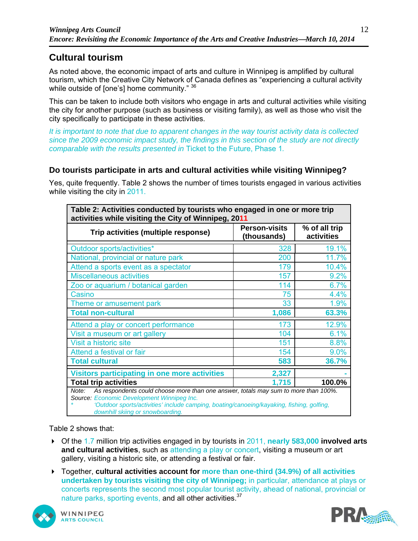## **Cultural tourism**

As noted above, the economic impact of arts and culture in Winnipeg is amplified by cultural tourism, which the Creative City Network of Canada defines as "experiencing a cultural activity while outside of [one's] home community." 36

This can be taken to include both visitors who engage in arts and cultural activities while visiting the city for another purpose (such as business or visiting family), as well as those who visit the city specifically to participate in these activities.

*It is important to note that due to apparent changes in the way tourist activity data is collected since the 2009 economic impact study, the findings in this section of the study are not directly comparable with the results presented in* Ticket to the Future, Phase 1*.* 

## **Do tourists participate in arts and cultural activities while visiting Winnipeg?**

Yes, quite frequently. Table 2 shows the number of times tourists engaged in various activities while visiting the city in 2011.

| Table 2: Activities conducted by tourists who engaged in one or more trip<br>activities while visiting the City of Winnipeg, 2011                                                                                                                                           |                                     |                             |
|-----------------------------------------------------------------------------------------------------------------------------------------------------------------------------------------------------------------------------------------------------------------------------|-------------------------------------|-----------------------------|
| Trip activities (multiple response)                                                                                                                                                                                                                                         | <b>Person-visits</b><br>(thousands) | % of all trip<br>activities |
| Outdoor sports/activities*                                                                                                                                                                                                                                                  | 328                                 | 19.1%                       |
| National, provincial or nature park                                                                                                                                                                                                                                         | 200                                 | 11.7%                       |
| Attend a sports event as a spectator                                                                                                                                                                                                                                        | 179                                 | 10.4%                       |
| <b>Miscellaneous activities</b>                                                                                                                                                                                                                                             | 157                                 | 9.2%                        |
| Zoo or aquarium / botanical garden                                                                                                                                                                                                                                          | 114                                 | 6.7%                        |
| Casino                                                                                                                                                                                                                                                                      | 75                                  | 4.4%                        |
| Theme or amusement park                                                                                                                                                                                                                                                     | 33                                  | 1.9%                        |
| <b>Total non-cultural</b>                                                                                                                                                                                                                                                   | 1,086                               | 63.3%                       |
| Attend a play or concert performance                                                                                                                                                                                                                                        | 173                                 | 12.9%                       |
| Visit a museum or art gallery                                                                                                                                                                                                                                               | 104                                 | 6.1%                        |
| Visit a historic site                                                                                                                                                                                                                                                       | 151                                 | 8.8%                        |
| Attend a festival or fair                                                                                                                                                                                                                                                   | 154                                 | 9.0%                        |
| <b>Total cultural</b>                                                                                                                                                                                                                                                       | 583                                 | 36.7%                       |
| <b>Visitors participating in one more activities</b>                                                                                                                                                                                                                        | 2,327                               |                             |
| <b>Total trip activities</b>                                                                                                                                                                                                                                                | 1,715                               | 100.0%                      |
| As respondents could choose more than one answer, totals may sum to more than 100%.<br>Note:<br>Source: Economic Development Winnipeg Inc.<br>'Outdoor sports/activities' include camping, boating/canoeing/kayaking, fishing, golfing,<br>downhill skiing or snowboarding. |                                     |                             |

Table 2 shows that:

- Of the 1.7 million trip activities engaged in by tourists in 2011, **nearly 583,000 involved arts and cultural activities**, such as attending a play or concert, visiting a museum or art gallery, visiting a historic site, or attending a festival or fair.
- Together, **cultural activities account for more than one-third (34.9%) of all activities undertaken by tourists visiting the city of Winnipeg;** in particular, attendance at plays or concerts represents the second most popular tourist activity, ahead of national, provincial or nature parks, sporting events, and all other activities.<sup>37</sup>



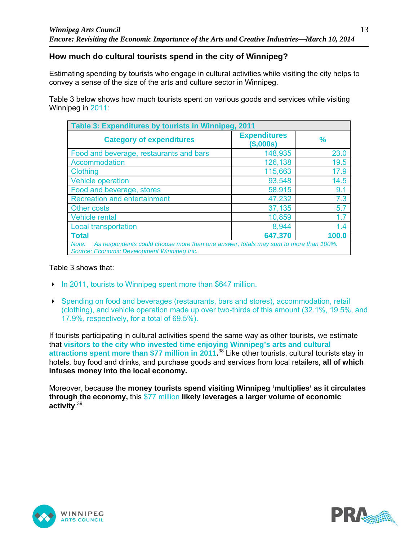## **How much do cultural tourists spend in the city of Winnipeg?**

Estimating spending by tourists who engage in cultural activities while visiting the city helps to convey a sense of the size of the arts and culture sector in Winnipeg.

Table 3 below shows how much tourists spent on various goods and services while visiting Winnipeg in 2011:

| Table 3: Expenditures by tourists in Winnipeg, 2011                                                                                        |                                 |       |
|--------------------------------------------------------------------------------------------------------------------------------------------|---------------------------------|-------|
| <b>Category of expenditures</b>                                                                                                            | <b>Expenditures</b><br>(S,000s) | %     |
| Food and beverage, restaurants and bars                                                                                                    | 148,935                         | 23.0  |
| Accommodation                                                                                                                              | 126,138                         | 19.5  |
| <b>Clothing</b>                                                                                                                            | 115,663                         | 17.9  |
| <b>Vehicle operation</b>                                                                                                                   | 93,548                          | 14.5  |
| Food and beverage, stores                                                                                                                  | 58,915                          | 9.1   |
| <b>Recreation and entertainment</b>                                                                                                        | 47,232                          | 7.3   |
| <b>Other costs</b>                                                                                                                         | 37,135                          | 5.7   |
| Vehicle rental                                                                                                                             | 10,859                          | 1.7   |
| <b>Local transportation</b>                                                                                                                | 8,944                           | 1.4   |
| <b>Total</b>                                                                                                                               | 647,370                         | 100.0 |
| As respondents could choose more than one answer, totals may sum to more than 100%.<br>Note:<br>Source: Economic Development Winnipeg Inc. |                                 |       |

#### Table 3 shows that:

- In 2011, tourists to Winnipeg spent more than \$647 million.
- Spending on food and beverages (restaurants, bars and stores), accommodation, retail (clothing), and vehicle operation made up over two-thirds of this amount (32.1%, 19.5%, and 17.9%, respectively, for a total of 69.5%).

If tourists participating in cultural activities spend the same way as other tourists, we estimate that **visitors to the city who invested time enjoying Winnipeg's arts and cultural attractions spent more than \$77 million in 2011.** 38 Like other tourists, cultural tourists stay in hotels, buy food and drinks, and purchase goods and services from local retailers, **all of which infuses money into the local economy.**

Moreover, because the **money tourists spend visiting Winnipeg 'multiplies' as it circulates through the economy,** this \$77 million **likely leverages a larger volume of economic activity**. 39



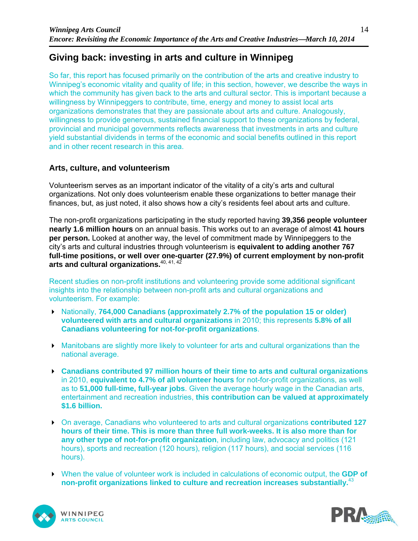## **Giving back: investing in arts and culture in Winnipeg**

So far, this report has focused primarily on the contribution of the arts and creative industry to Winnipeg's economic vitality and quality of life; in this section, however, we describe the ways in which the community has given back to the arts and cultural sector. This is important because a willingness by Winnipeggers to contribute, time, energy and money to assist local arts organizations demonstrates that they are passionate about arts and culture. Analogously, willingness to provide generous, sustained financial support to these organizations by federal, provincial and municipal governments reflects awareness that investments in arts and culture yield substantial dividends in terms of the economic and social benefits outlined in this report and in other recent research in this area.

## **Arts, culture, and volunteerism**

Volunteerism serves as an important indicator of the vitality of a city's arts and cultural organizations. Not only does volunteerism enable these organizations to better manage their finances, but, as just noted, it also shows how a city's residents feel about arts and culture.

The non-profit organizations participating in the study reported having **39,356 people volunteer nearly 1.6 million hours** on an annual basis. This works out to an average of almost **41 hours per person.** Looked at another way, the level of commitment made by Winnipeggers to the city's arts and cultural industries through volunteerism is **equivalent to adding another 767 full-time positions, or well over one-quarter (27.9%) of current employment by non-profit arts and cultural organizations.**40, 41, 42

Recent studies on non-profit institutions and volunteering provide some additional significant insights into the relationship between non-profit arts and cultural organizations and volunteerism. For example:

- ▶ Nationally, **764,000 Canadians (approximately 2.7% of the population 15 or older) volunteered with arts and cultural organizations** in 2010; this represents **5.8% of all Canadians volunteering for not-for-profit organizations**.
- Manitobans are slightly more likely to volunteer for arts and cultural organizations than the national average.
- **Canadians contributed 97 million hours of their time to arts and cultural organizations** in 2010, **equivalent to 4.7% of all volunteer hours** for not-for-profit organizations, as well as to **51,000 full-time, full-year jobs**. Given the average hourly wage in the Canadian arts, entertainment and recreation industries, **this contribution can be valued at approximately \$1.6 billion.**
- On average, Canadians who volunteered to arts and cultural organizations **contributed 127 hours of their time. This is more than three full work-weeks. It is also more than for any other type of not-for-profit organization**, including law, advocacy and politics (121 hours), sports and recreation (120 hours), religion (117 hours), and social services (116 hours).
- When the value of volunteer work is included in calculations of economic output, the **GDP of non-profit organizations linked to culture and recreation increases substantially.**<sup>43</sup>



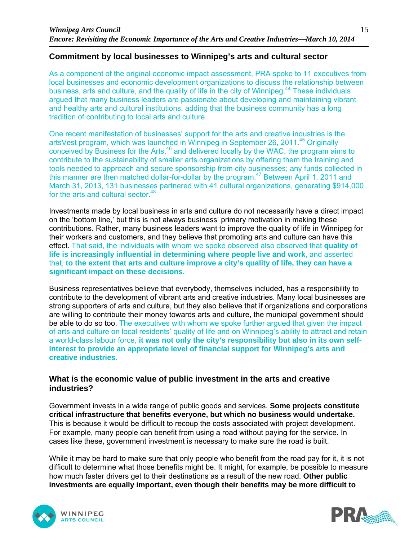## **Commitment by local businesses to Winnipeg's arts and cultural sector**

As a component of the original economic impact assessment, PRA spoke to 11 executives from local businesses and economic development organizations to discuss the relationship between business, arts and culture, and the quality of life in the city of Winnipeg.<sup>44</sup> These individuals argued that many business leaders are passionate about developing and maintaining vibrant and healthy arts and cultural institutions, adding that the business community has a long tradition of contributing to local arts and culture.

One recent manifestation of businesses' support for the arts and creative industries is the artsVest program, which was launched in Winnipeg in September 26, 2011.<sup>45</sup> Originally conceived by Business for the Arts,<sup>46</sup> and delivered locally by the WAC, the program aims to contribute to the sustainability of smaller arts organizations by offering them the training and tools needed to approach and secure sponsorship from city businesses; any funds collected in this manner are then matched dollar-for-dollar by the program.<sup>47</sup> Between April 1, 2011 and March 31, 2013, 131 businesses partnered with 41 cultural organizations, generating \$914,000 for the arts and cultural sector.<sup>48</sup>

Investments made by local business in arts and culture do not necessarily have a direct impact on the 'bottom line,' but this is not always business' primary motivation in making these contributions. Rather, many business leaders want to improve the quality of life in Winnipeg for their workers and customers, and they believe that promoting arts and culture can have this effect. That said, the individuals with whom we spoke observed also observed that **quality of life is increasingly influential in determining where people live and work**, and asserted that, **to the extent that arts and culture improve a city's quality of life, they can have a significant impact on these decisions.** 

Business representatives believe that everybody, themselves included, has a responsibility to contribute to the development of vibrant arts and creative industries. Many local businesses are strong supporters of arts and culture, but they also believe that if organizations and corporations are willing to contribute their money towards arts and culture, the municipal government should be able to do so too. The executives with whom we spoke further argued that given the impact of arts and culture on local residents' quality of life and on Winnipeg's ability to attract and retain a world-class labour force, **it was not only the city's responsibility but also in its own selfinterest to provide an appropriate level of financial support for Winnipeg's arts and creative industries.**

#### **What is the economic value of public investment in the arts and creative industries?**

Government invests in a wide range of public goods and services. **Some projects constitute critical infrastructure that benefits everyone, but which no business would undertake.** This is because it would be difficult to recoup the costs associated with project development. For example, many people can benefit from using a road without paying for the service. In cases like these, government investment is necessary to make sure the road is built.

While it may be hard to make sure that only people who benefit from the road pay for it, it is not difficult to determine what those benefits might be. It might, for example, be possible to measure how much faster drivers get to their destinations as a result of the new road. **Other public investments are equally important, even though their benefits may be more difficult to** 



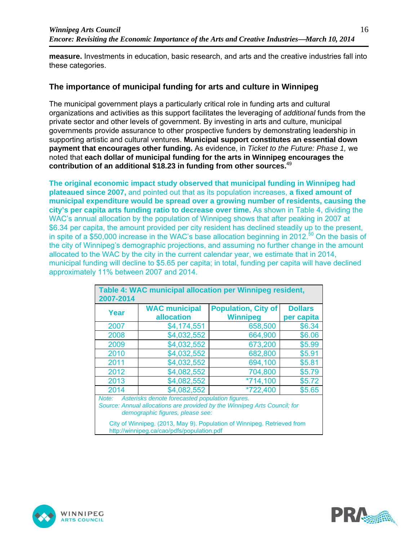**measure.** Investments in education, basic research, and arts and the creative industries fall into these categories.

#### **The importance of municipal funding for arts and culture in Winnipeg**

The municipal government plays a particularly critical role in funding arts and cultural organizations and activities as this support facilitates the leveraging of *additional* funds from the private sector and other levels of government. By investing in arts and culture, municipal governments provide assurance to other prospective funders by demonstrating leadership in supporting artistic and cultural ventures. **Municipal support constitutes an essential down payment that encourages other funding.** As evidence, in *Ticket to the Future: Phase 1,* we noted that **each dollar of municipal funding for the arts in Winnipeg encourages the contribution of an additional \$18.23 in funding from other sources.**<sup>49</sup>

**The original economic impact study observed that municipal funding in Winnipeg had plateaued since 2007,** and pointed out that as its population increases, **a fixed amount of municipal expenditure would be spread over a growing number of residents, causing the city's per capita arts funding ratio to decrease over time.** As shown in Table 4, dividing the WAC's annual allocation by the population of Winnipeg shows that after peaking in 2007 at \$6.34 per capita, the amount provided per city resident has declined steadily up to the present, in spite of a \$50,000 increase in the WAC's base allocation beginning in 2012.<sup>50</sup> On the basis of the city of Winnipeg's demographic projections, and assuming no further change in the amount allocated to the WAC by the city in the current calendar year, we estimate that in 2014, municipal funding will decline to \$5.65 per capita; in total, funding per capita will have declined approximately 11% between 2007 and 2014.

| Table 4: WAC municipal allocation per Winnipeg resident,<br>2007-2014 |                                                                                     |                                                                           |                              |
|-----------------------------------------------------------------------|-------------------------------------------------------------------------------------|---------------------------------------------------------------------------|------------------------------|
| Year                                                                  | <b>WAC municipal</b><br>allocation                                                  | <b>Population, City of</b><br><b>Winnipeg</b>                             | <b>Dollars</b><br>per capita |
| 2007                                                                  | \$4,174,551                                                                         | 658,500                                                                   | \$6.34                       |
| 2008                                                                  | \$4,032,552                                                                         | 664,900                                                                   | \$6.06                       |
| 2009                                                                  | \$4,032,552                                                                         | 673,200                                                                   | \$5.99                       |
| 2010                                                                  | \$4,032,552                                                                         | 682,800                                                                   | \$5.91                       |
| 2011                                                                  | \$4,032,552                                                                         | 694,100                                                                   | \$5.81                       |
| 2012                                                                  | \$4,082,552                                                                         | 704,800                                                                   | \$5.79                       |
| 2013                                                                  | \$4,082,552                                                                         | $*714,100$                                                                | \$5.72                       |
| 2014                                                                  | \$4,082,552                                                                         | *722,400                                                                  | \$5.65                       |
| Note:                                                                 | Asterisks denote forecasted population figures.<br>demographic figures, please see: | Source: Annual allocations are provided by the Winnipeg Arts Council; for |                              |
|                                                                       | http://winnipeg.ca/cao/pdfs/population.pdf                                          | City of Winnipeg. (2013, May 9). Population of Winnipeg. Retrieved from   |                              |



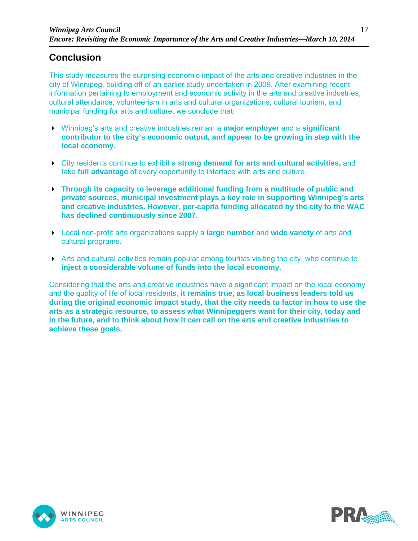## **Conclusion**

This study measures the surprising economic impact of the arts and creative industries in the city of Winnipeg, building off of an earlier study undertaken in 2009. After examining recent information pertaining to employment and economic activity in the arts and creative industries, cultural attendance, volunteerism in arts and cultural organizations, cultural tourism, and municipal funding for arts and culture, we conclude that:

- Winnipeg's arts and creative industries remain a **major employer** and a **significant contributor to the city's economic output, and appear to be growing in step with the local economy.**
- City residents continue to exhibit a **strong demand for arts and cultural activities,** and take **full advantage** of every opportunity to interface with arts and culture.
- **Through its capacity to leverage additional funding from a multitude of public and private sources, municipal investment plays a key role in supporting Winnipeg's arts and creative industries. However, per-capita funding allocated by the city to the WAC has declined continuously since 2007.**
- Local non-profit arts organizations supply a **large number** and **wide variety** of arts and cultural programs.
- $\triangleright$  Arts and cultural activities remain popular among tourists visiting the city, who continue to **inject a considerable volume of funds into the local economy.**

Considering that the arts and creative industries have a significant impact on the local economy and the quality of life of local residents, **it remains true, as local business leaders told us during the original economic impact study, that the city needs to factor in how to use the arts as a strategic resource, to assess what Winnipeggers want for their city, today and in the future, and to think about how it can call on the arts and creative industries to achieve these goals.**



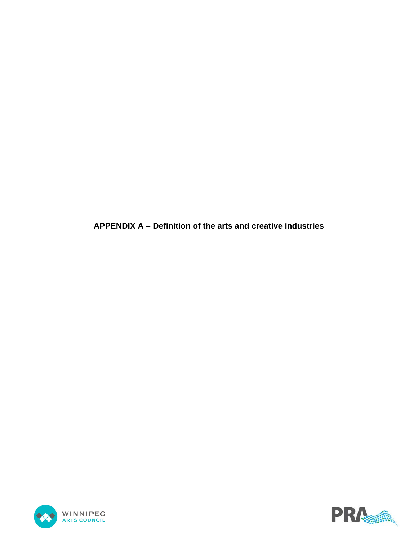**APPENDIX A – Definition of the arts and creative industries**



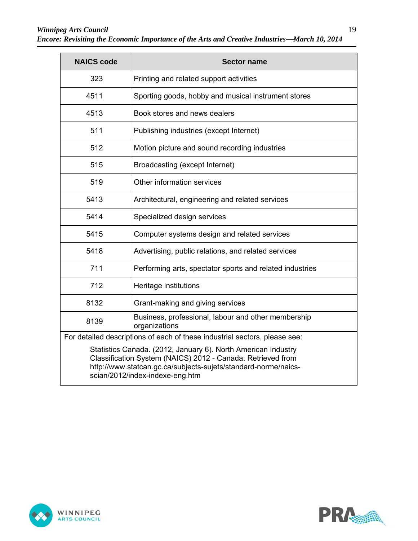| <b>NAICS code</b>                                                                                                                                                                                                                 | <b>Sector name</b>                                                         |
|-----------------------------------------------------------------------------------------------------------------------------------------------------------------------------------------------------------------------------------|----------------------------------------------------------------------------|
| 323                                                                                                                                                                                                                               | Printing and related support activities                                    |
| 4511                                                                                                                                                                                                                              | Sporting goods, hobby and musical instrument stores                        |
| 4513                                                                                                                                                                                                                              | Book stores and news dealers                                               |
| 511                                                                                                                                                                                                                               | Publishing industries (except Internet)                                    |
| 512                                                                                                                                                                                                                               | Motion picture and sound recording industries                              |
| 515                                                                                                                                                                                                                               | Broadcasting (except Internet)                                             |
| 519                                                                                                                                                                                                                               | Other information services                                                 |
| 5413                                                                                                                                                                                                                              | Architectural, engineering and related services                            |
| 5414                                                                                                                                                                                                                              | Specialized design services                                                |
| 5415                                                                                                                                                                                                                              | Computer systems design and related services                               |
| 5418                                                                                                                                                                                                                              | Advertising, public relations, and related services                        |
| 711                                                                                                                                                                                                                               | Performing arts, spectator sports and related industries                   |
| 712                                                                                                                                                                                                                               | Heritage institutions                                                      |
| 8132                                                                                                                                                                                                                              | Grant-making and giving services                                           |
| 8139                                                                                                                                                                                                                              | Business, professional, labour and other membership<br>organizations       |
|                                                                                                                                                                                                                                   | For detailed descriptions of each of these industrial sectors, please see: |
| Statistics Canada. (2012, January 6). North American Industry<br>Classification System (NAICS) 2012 - Canada. Retrieved from<br>http://www.statcan.gc.ca/subjects-sujets/standard-norme/naics-<br>scian/2012/index-indexe-eng.htm |                                                                            |



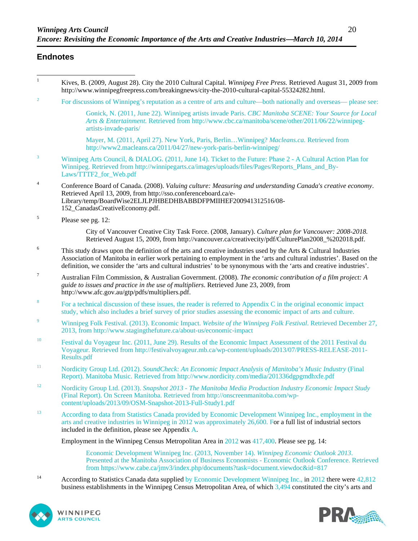#### **Endnotes**

| $\mathbf{1}$              | Kives, B. (2009, August 28). City the 2010 Cultural Capital. Winnipeg Free Press. Retrieved August 31, 2009 from<br>http://www.winnipegfreepress.com/breakingnews/city-the-2010-cultural-capital-55324282.html.                                                                                                                                                 |
|---------------------------|-----------------------------------------------------------------------------------------------------------------------------------------------------------------------------------------------------------------------------------------------------------------------------------------------------------------------------------------------------------------|
| $\overline{c}$            | For discussions of Winnipeg's reputation as a centre of arts and culture—both nationally and overseas— please see:                                                                                                                                                                                                                                              |
|                           | Gonick, N. (2011, June 22). Winnipeg artists invade Paris. CBC Manitoba SCENE: Your Source for Local<br>Arts & Entertainment. Retrieved from http://www.cbc.ca/manitoba/scene/other/2011/06/22/winnipeg-<br>artists-invade-paris/                                                                                                                               |
|                           | Mayer, M. (2011, April 27). New York, Paris, BerlinWinnipeg? <i>Macleans.ca</i> . Retrieved from<br>http://www2.macleans.ca/2011/04/27/new-york-paris-berlin-winnipeg/                                                                                                                                                                                          |
| $\ensuremath{\mathbf{3}}$ | Winnipeg Arts Council, & DIALOG. (2011, June 14). Ticket to the Future: Phase 2 - A Cultural Action Plan for<br>Winnipeg. Retrieved from http://winnipegarts.ca/images/uploads/files/Pages/Reports_Plans_and_By-<br>Laws/TTTF2_for_Web.pdf                                                                                                                      |
| $\overline{4}$            | Conference Board of Canada. (2008). Valuing culture: Measuring and understanding Canada's creative economy.<br>Retrieved April 13, 2009, from http://sso.conferenceboard.ca/e-<br>Library/temp/BoardWise2ELJLPJHBEDHBABBDFPMIIHEF200941312516/08-<br>152_CanadasCreativeEconomy.pdf.                                                                            |
| $\sqrt{5}$                | Please see pg. 12:                                                                                                                                                                                                                                                                                                                                              |
|                           | City of Vancouver Creative City Task Force. (2008, January). Culture plan for Vancouver: 2008-2018.<br>Retrieved August 15, 2009, from http://vancouver.ca/creativecity/pdf/CulturePlan2008_%202018.pdf.                                                                                                                                                        |
| 6                         | This study draws upon the definition of the arts and creative industries used by the Arts & Cultural Industries<br>Association of Manitoba in earlier work pertaining to employment in the 'arts and cultural industries'. Based on the<br>definition, we consider the 'arts and cultural industries' to be synonymous with the 'arts and creative industries'. |
| $\boldsymbol{7}$          | Australian Film Commission, & Australian Government. (2008). The economic contribution of a film project: A<br>guide to issues and practice in the use of multipliers. Retrieved June 23, 2009, from<br>http://www.afc.gov.au/gtp/pdfs/multipliers.pdf.                                                                                                         |
| $\bf 8$                   | For a technical discussion of these issues, the reader is referred to Appendix C in the original economic impact<br>study, which also includes a brief survey of prior studies assessing the economic impact of arts and culture.                                                                                                                               |
| 9                         | Winnipeg Folk Festival. (2013). Economic Impact. Website of the Winnipeg Folk Festival. Retrieved December 27,<br>2013, from http://www.stagingthefuture.ca/about-us/economic-impact                                                                                                                                                                            |
| 10                        | Festival du Voyageur Inc. (2011, June 29). Results of the Economic Impact Assessment of the 2011 Festival du<br>Voyageur. Retrieved from http://festivalvoyageur.mb.ca/wp-content/uploads/2013/07/PRESS-RELEASE-2011-<br>Results.pdf                                                                                                                            |
| $11\,$                    | Nordicity Group Ltd. (2012). SoundCheck: An Economic Impact Analysis of Manitoba's Music Industry (Final<br>Report). Manitoba Music. Retrieved from http://www.nordicity.com/media/201336dgpgmdhxfe.pdf                                                                                                                                                         |
| 12                        | Nordicity Group Ltd. (2013). Snapshot 2013 - The Manitoba Media Production Industry Economic Impact Study<br>(Final Report). On Screen Manitoba. Retrieved from http://onscreenmanitoba.com/wp-<br>content/uploads/2013/09/OSM-Snapshot-2013-Full-Study1.pdf                                                                                                    |
| 13                        | According to data from Statistics Canada provided by Economic Development Winnipeg Inc., employment in the<br>arts and creative industries in Winnipeg in 2012 was approximately 26,600. For a full list of industrial sectors<br>included in the definition, please see Appendix $\bf{A}$ .                                                                    |
|                           | Employment in the Winnipeg Census Metropolitan Area in 2012 was 417,400. Please see pg. 14:                                                                                                                                                                                                                                                                     |
|                           | Economic Development Winnipeg Inc. (2013, November 14). Winnipeg Economic Outlook 2013.<br>Presented at the Manitoba Association of Business Economists - Economic Outlook Conference. Retrieved<br>from https://www.cabe.ca/jmv3/index.php/documents?task=document.viewdoc&id=817                                                                              |

<sup>14</sup> According to Statistics Canada data supplied by Economic Development Winnipeg Inc., in 2012 there were 42,812 business establishments in the Winnipeg Census Metropolitan Area, of which 3,494 constituted the city's arts and



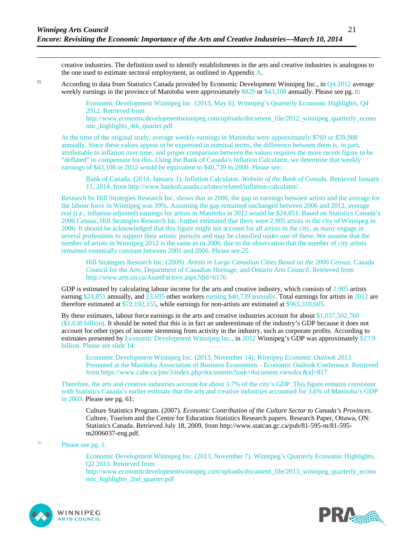creative industries. The definition used to identify establishments in the arts and creative industries is analogous to the one used to estimate sectoral employment, as outlined in Appendix A.

<sup>15</sup> According to data from Statistics Canada provided by Economic Development Winnipeg Inc., in Q4 2012 average weekly earnings in the province of Manitoba were approximately \$829 or \$43,108 annually. Please see pg. 8:

> Economic Development Winnipeg Inc. (2013, May 6). Winnipeg's Quarterly Economic Highlights, Q4 2012. Retrieved from

http://www.economicdevelopmentwinnipeg.com/uploads/document\_file/2012\_winnipeg\_quarterly\_econo mic\_highlights\_4th\_quarter.pdf

At the time of the original study, average weekly earnings in Manitoba were approximately \$769 or \$39,988 annually. Since these values appear to be expressed in nominal terms, the difference between them is, in part, attributable to inflation over time; and proper comparison between the values requires the more recent figure to be "deflated" to compensate for this. Using the Bank of Canada's Inflation Calculator, we determine that weekly earnings of \$43,108 in 2012 would be equivalent to \$40,739 in 2009. Please see:

Bank of Canada. (2014, January 1). Inflation Calculator. *Website of the Bank of Canada*. Retrieved January 11, 2014, from http://www.bankofcanada.ca/rates/related/inflation-calculator/

Research by Hill Strategies Research Inc. shows that in 2006, the gap in earnings between artists and the average for the labour force in Winnipeg was 39%. Assuming the gap remained unchanged between 2006 and 2012, average real (i.e., inflation-adjusted) earnings for artists in Manitoba in 2012 would be \$24,851. Based on Statistics Canada's 2006 Census, Hill Strategies Research Inc. further estimated that there were 2,905 artists in the city of Winnipeg in 2006. It should be acknowledged that this figure might not account for all artists in the city, as many engage in several professions to support their artistic pursuits and may be classified under one of these. We assume that the number of artists in Winnipeg 2012 is the same as in 2006, due to the observation that the number of city artists remained essentially constant between 2001 and 2006. Please see 25:

Hill Strategies Research Inc. (2009). *Artists in Large Canadian Cities Based on the 2006 Census*. Canada Council for the Arts, Department of Canadian Heritage, and Ontario Arts Council. Retrieved from http://www.arts.on.ca/AssetFactory.aspx?did=6176

GDP is estimated by calculating labour income for the arts and creative industry, which consists of  $2,905$  artists earning \$24,851 annually, and 23,695 other workers earning \$40,739 annually. Total earnings for artists in 2012 are therefore estimated at \$72,192,155, while earnings for non-artists are estimated at \$965,310,605.

By these estimates, labour force earnings in the arts and creative industries account for about \$1,037,502,760 (\$1.038 billion). It should be noted that this is in fact an underestimate of the industry's GDP because it does not account for other types of income stemming from activity in the industry, such as corporate profits. According to estimates presented by Economic Development Winnipeg Inc., in 2012 Winnipeg's GDP was approximately \$27.9 billion. Please see slide 14:

Economic Development Winnipeg Inc. (2013, November 14). *Winnipeg Economic Outlook 2013*. Presented at the Manitoba Association of Business Economists - Economic Outlook Conference. Retrieved from https://www.cabe.ca/jmv3/index.php/documents?task=document.viewdoc&id=817

Therefore, the arts and creative industries account for about 3.7% of the city's GDP. This figure remains consistent with Statistics Canada's earlier estimate that the arts and creative industries accounted for 3.6% of Manitoba's GDP in 2003. Please see pg. 61:

Culture Statistics Program. (2007). *Economic Contribution of the Culture Sector to Canada's Provinces*. Culture, Tourism and the Centre for Education Statistics Research papers. Research Paper, Ottawa, ON: Statistics Canada. Retrieved July 18, 2009, from http://www.statcan.gc.ca/pub/81-595-m/81-595 m2006037-eng.pdf.

#### 16 Please see pg. 1:

Economic Development Winnipeg Inc. (2013, November 7). Winnipeg's Quarterly Economic Highlights, Q2 2013. Retrieved from http://www.economicdevelopmentwinnipeg.com/uploads/document\_file/2013\_winnipeg\_quarterly\_econo mic\_highlights\_2nd\_quarter.pdf



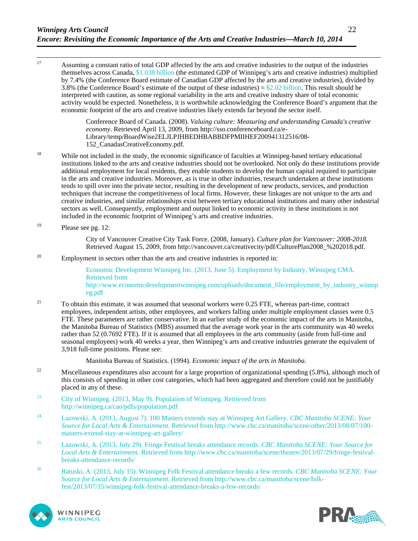<sup>17</sup> Assuming a constant ratio of total GDP affected by the arts and creative industries to the output of the industries themselves across Canada, \$1.038 billion (the estimated GDP of Winnipeg's arts and creative industries) multiplied by 7.4% (the Conference Board estimate of Canadian GDP affected by the arts and creative industries), divided by 3.8% (the Conference Board's estimate of the output of these industries)  $= $2.02$  billion. This result should be interpreted with caution, as some regional variability in the arts and creative industry share of total economic activity would be expected. Nonetheless, it is worthwhile acknowledging the Conference Board's argument that the economic footprint of the arts and creative industries likely extends far beyond the sector itself.

> Conference Board of Canada. (2008). *Valuing culture: Measuring and understanding Canada's creative economy*. Retrieved April 13, 2009, from http://sso.conferenceboard.ca/e-Library/temp/BoardWise2ELJLPJHBEDHBABBDFPMIIHEF200941312516/08- 152\_CanadasCreativeEconomy.pdf.

- <sup>18</sup> While not included in the study, the economic significance of faculties at Winnipeg-based tertiary educational institutions linked to the arts and creative industries should not be overlooked. Not only do these institutions provide additional employment for local residents, they enable students to develop the human capital required to participate in the arts and creative industries. Moreover, as is true in other industries, research undertaken at these institutions tends to spill over into the private sector, resulting in the development of new products, services, and production techniques that increase the competitiveness of local firms. However, these linkages are not unique to the arts and creative industries, and similar relationships exist between tertiary educational institutions and many other industrial sectors as well. Consequently, employment and output linked to economic activity in these institutions is not included in the economic footprint of Winnipeg's arts and creative industries.
- <sup>19</sup> Please see pg. 12:

City of Vancouver Creative City Task Force. (2008, January). *Culture plan for Vancouver: 2008-2018.*  Retrieved August 15, 2009, from http://vancouver.ca/creativecity/pdf/CulturePlan2008\_%202018.pdf.

<sup>20</sup> Employment in sectors other than the arts and creative industries is reported in:

Economic Development Winnipeg Inc. (2013, June 5). Employment by Industry, Winnipeg CMA. Retrieved from http://www.economicdevelopmentwinnipeg.com/uploads/document\_file/employment\_by\_industry\_winnip eg.pdf

<sup>21</sup> To obtain this estimate, it was assumed that seasonal workers were 0.25 FTE, whereas part-time, contract employees, independent artists, other employees, and workers falling under multiple employment classes were 0.5 FTE. These parameters are rather conservative. In an earlier study of the economic impact of the arts in Manitoba, the Manitoba Bureau of Statistics (MBS) assumed that the average work year in the arts community was 40 weeks rather than 52 (0.7692 FTE). If it is assumed that all employees in the arts community (aside from full-time and seasonal employees) work 40 weeks a year, then Winnipeg's arts and creative industries generate the equivalent of 3,918 full-time positions. Please see:

Manitoba Bureau of Statistics. (1994). *Economic impact of the arts in Manitoba.*

- <sup>22</sup> Miscellaneous expenditures also account for a large proportion of organizational spending  $(5.8\%)$ , although much of this consists of spending in other cost categories, which had been aggregated and therefore could not be justifiably placed in any of these.
- <sup>23</sup> City of Winnipeg. (2013, May 9). Population of Winnipeg. Retrieved from http://winnipeg.ca/cao/pdfs/population.pdf
- 24 Lazowski, A. (2013, August 7). 100 Masters extends stay at Winnipeg Art Gallery. *CBC Manitoba SCENE: Your Source for Local Arts & Entertainment*. Retrieved from http://www.cbc.ca/manitoba/scene/other/2013/08/07/100 masters-extend-stay-at-winnipeg-art-gallery/
- 25 Lazowski, A. (2013, July 29). Fringe Festival breaks attendance records. *CBC Manitoba SCENE: Your Source for Local Arts & Entertainment*. Retrieved from http://www.cbc.ca/manitoba/scene/theatre/2013/07/29/fringe-festivalbreaks-attendance-records/
- 26 Ratuski, A. (2013, July 15). Winnipeg Folk Festival attendance breaks a few records. *CBC Manitoba SCENE: Your Source for Local Arts & Entertainment*. Retrieved from http://www.cbc.ca/manitoba/scene/folkfest/2013/07/15/winnipeg-folk-festival-attendance-breaks-a-few-records/



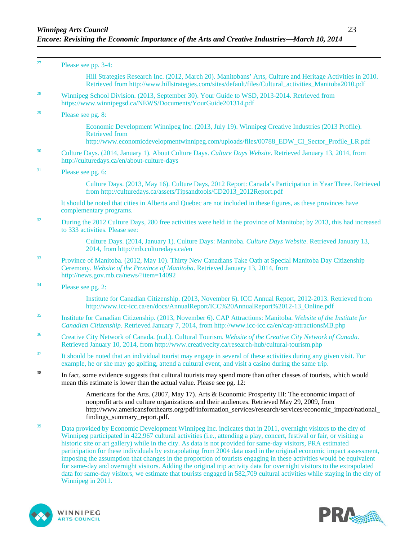| $27\,$ | Please see pp. 3-4:                                                                                                                                                                                                                                                                                                                                                                                                                                                                                                                                                                                                                                                                                                               |
|--------|-----------------------------------------------------------------------------------------------------------------------------------------------------------------------------------------------------------------------------------------------------------------------------------------------------------------------------------------------------------------------------------------------------------------------------------------------------------------------------------------------------------------------------------------------------------------------------------------------------------------------------------------------------------------------------------------------------------------------------------|
|        | Hill Strategies Research Inc. (2012, March 20). Manitobans' Arts, Culture and Heritage Activities in 2010.<br>Retrieved from http://www.hillstrategies.com/sites/default/files/Cultural_activities_Manitoba2010.pdf                                                                                                                                                                                                                                                                                                                                                                                                                                                                                                               |
| 28     | Winnipeg School Division. (2013, September 30). Your Guide to WSD, 2013-2014. Retrieved from<br>https://www.winnipegsd.ca/NEWS/Documents/YourGuide201314.pdf                                                                                                                                                                                                                                                                                                                                                                                                                                                                                                                                                                      |
| 29     | Please see pg. 8:                                                                                                                                                                                                                                                                                                                                                                                                                                                                                                                                                                                                                                                                                                                 |
|        | Economic Development Winnipeg Inc. (2013, July 19). Winnipeg Creative Industries (2013 Profile).<br><b>Retrieved from</b><br>http://www.economicdevelopmentwinnipeg.com/uploads/files/00788 EDW CI Sector Profile LR.pdf                                                                                                                                                                                                                                                                                                                                                                                                                                                                                                          |
| 30     | Culture Days. (2014, January 1). About Culture Days. Culture Days Website. Retrieved January 13, 2014, from<br>http://culturedays.ca/en/about-culture-days                                                                                                                                                                                                                                                                                                                                                                                                                                                                                                                                                                        |
| 31     | Please see pg. 6:                                                                                                                                                                                                                                                                                                                                                                                                                                                                                                                                                                                                                                                                                                                 |
|        | Culture Days. (2013, May 16). Culture Days, 2012 Report: Canada's Participation in Year Three. Retrieved<br>from http://culturedays.ca/assets/Tipsandtools/CD2013_2012Report.pdf                                                                                                                                                                                                                                                                                                                                                                                                                                                                                                                                                  |
|        | It should be noted that cities in Alberta and Quebec are not included in these figures, as these provinces have<br>complementary programs.                                                                                                                                                                                                                                                                                                                                                                                                                                                                                                                                                                                        |
| 32     | During the 2012 Culture Days, 280 free activities were held in the province of Manitoba; by 2013, this had increased<br>to 333 activities. Please see:                                                                                                                                                                                                                                                                                                                                                                                                                                                                                                                                                                            |
|        | Culture Days. (2014, January 1). Culture Days: Manitoba. Culture Days Website. Retrieved January 13,<br>2014, from http://mb.culturedays.ca/en                                                                                                                                                                                                                                                                                                                                                                                                                                                                                                                                                                                    |
| 33     | Province of Manitoba. (2012, May 10). Thirty New Canadians Take Oath at Special Manitoba Day Citizenship<br>Ceremony. Website of the Province of Manitoba. Retrieved January 13, 2014, from<br>http://news.gov.mb.ca/news/?item=14092                                                                                                                                                                                                                                                                                                                                                                                                                                                                                             |
| 34     | Please see pg. 2:                                                                                                                                                                                                                                                                                                                                                                                                                                                                                                                                                                                                                                                                                                                 |
|        | Institute for Canadian Citizenship. (2013, November 6). ICC Annual Report, 2012-2013. Retrieved from<br>http://www.icc-icc.ca/en/docs/AnnualReport/ICC%20AnnualReport%2012-13_Online.pdf                                                                                                                                                                                                                                                                                                                                                                                                                                                                                                                                          |
| 35     | Institute for Canadian Citizenship. (2013, November 6). CAP Attractions: Manitoba. Website of the Institute for<br>Canadian Citizenship. Retrieved January 7, 2014, from http://www.icc-icc.ca/en/cap/attractionsMB.php                                                                                                                                                                                                                                                                                                                                                                                                                                                                                                           |
| 36     | Creative City Network of Canada. (n.d.). Cultural Tourism. Website of the Creative City Network of Canada.<br>Retrieved January 10, 2014, from http://www.creativecity.ca/research-hub/cultural-tourism.php                                                                                                                                                                                                                                                                                                                                                                                                                                                                                                                       |
| 37     | It should be noted that an individual tourist may engage in several of these activities during any given visit. For<br>example, he or she may go golfing, attend a cultural event, and visit a casino during the same trip.                                                                                                                                                                                                                                                                                                                                                                                                                                                                                                       |
| 38     | In fact, some evidence suggests that cultural tourists may spend more than other classes of tourists, which would<br>mean this estimate is lower than the actual value. Please see pg. 12:                                                                                                                                                                                                                                                                                                                                                                                                                                                                                                                                        |
|        | Americans for the Arts. (2007, May 17). Arts & Economic Prosperity III: The economic impact of<br>nonprofit arts and culture organizations and their audiences. Retrieved May 29, 2009, from<br>http://www.americansforthearts.org/pdf/information_services/research/services/economic_impact/national_<br>findings_summary_report.pdf.                                                                                                                                                                                                                                                                                                                                                                                           |
| 39     | Data provided by Economic Development Winnipeg Inc. indicates that in 2011, overnight visitors to the city of<br>Winnipeg participated in 422,967 cultural activities (i.e., attending a play, concert, festival or fair, or visiting a<br>historic site or art gallery) while in the city. As data is not provided for same-day visitors, PRA estimated<br>participation for these individuals by extrapolating from 2004 data used in the original economic impact assessment,<br>imposing the assumption that changes in the proportion of tourists engaging in these activities would be equivalent<br>for same-day and overnight visitors. Adding the original trip activity data for overnight visitors to the extrapolated |

data for same-day visitors, we estimate that tourists engaged in 582,709 cultural activities while staying in the city of Winnipeg in 2011.



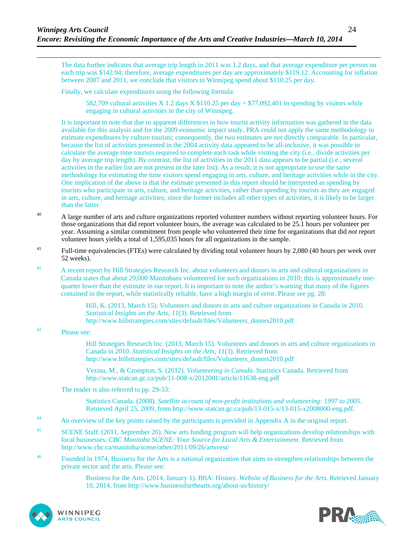The data further indicates that average trip length in 2011 was 1.2 days, and that average expenditure per person on each trip was \$142.94; therefore, average expenditures per day are approximately \$119.12. Accounting for inflation between 2007 and 2011, we conclude that visitors to Winnipeg spend about \$110.25 per day.

Finally, we calculate expenditures using the following formula:

582,709 cultural activities X 1.2 days X  $$110.25$  per day = \$77,092,401 in spending by visitors while engaging in cultural activities in the city of Winnipeg.

It is important to note that due to apparent differences in how tourist activity information was gathered in the data available for this analysis and for the 2009 economic impact study, PRA could not apply the same methodology to estimate expenditures by culture tourists; consequently, the two estimates are not directly comparable. In particular, because the list of activities presented in the 2004 activity data appeared to be all-inclusive, it was possible to calculate the average time tourists required to complete each task while visiting the city (i.e., divide activities per day by average trip length). By contrast, the list of activities in the 2011 data appears to be partial (i.e., several activities in the earlier list are not present in the later list). As a result, it is not appropriate to use the same methodology for estimating the time visitors spend engaging in arts, culture, and heritage activities while in the city. One implication of the above is that the estimate presented in this report should be interpreted as spending by tourists who participate in arts, culture, and heritage activities, rather than spending by tourists as they are engaged in arts, culture, and heritage activities; since the former includes all other types of activities, it is likely to be larger than the latter.

- <sup>40</sup> A large number of arts and culture organizations reported volunteer numbers without reporting volunteer hours. For those organizations that did report volunteer hours, the average was calculated to be 25.1 hours per volunteer per year. Assuming a similar commitment from people who volunteered their time for organizations that did *not* report volunteer hours yields a total of 1,595,035 hours for all organizations in the sample.
- <sup>41</sup> Full-time equivalencies (FTEs) were calculated by dividing total volunteer hours by 2,080 (40 hours per week over 52 weeks).
- <sup>42</sup> A recent report by Hill Strategies Research Inc. about volunteers and donors in arts and cultural organizations in Canada states that about 29,000 Manitobans volunteered for such organizations in 2010; this is approximately onequarter lower than the estimate in our report. It is important to note the author's warning that many of the figures contained in the report, while statistically reliable, have a high margin of error. Please see pg. 28:

Hill, K. (2013, March 15). Volunteers and donors in arts and culture organizations in Canada in 2010. *Statistical Insights on the Arts*, *11*(3). Retrieved from http://www.hillstrategies.com/sites/default/files/Volunteers\_donors2010.pdf

43 Please see:

Hill Strategies Research Inc. (2013, March 15). Volunteers and donors in arts and culture organizations in Canada in 2010. *Statistical Insights on the Arts*, *11*(3). Retrieved from http://www.hillstrategies.com/sites/default/files/Volunteers\_donors2010.pdf

Vezina, M., & Crompton, S. (2012). *Volunteering in Canada*. Statistics Canada. Retrieved from http://www.statcan.gc.ca/pub/11-008-x/2012001/article/11638-eng.pdf

The reader is also referred to pp. 29-33:

Statistics Canada. (2008). *Satellite account of non-profit institutions and volunteering: 1997 to 2005*. Retrieved April 25, 2009, from http://www.statcan.gc.ca/pub/13-015-x/13-015-x2008000-eng.pdf.

- <sup>44</sup> An overview of the key points raised by the participants is provided in Appendix A in the original report.
- <sup>45</sup> SCENE Staff. (2011, September 26). New arts funding program will help organizations develop relationships with local businesses. *CBC Manitoba SCENE: Your Source for Local Arts & Entertainment*. Retrieved from http://www.cbc.ca/manitoba/scene/other/2011/09/26/artsvest/
- <sup>46</sup> Founded in 1974, Business for the Arts is a national organization that aims to strengthen relationships between the private sector and the arts. Please see:

Business for the Arts. (2014, January 1). BftA: History. *Website of Business for the Arts.* Retrieved January 10, 2014, from http://www.businessforthearts.org/about-us/history/